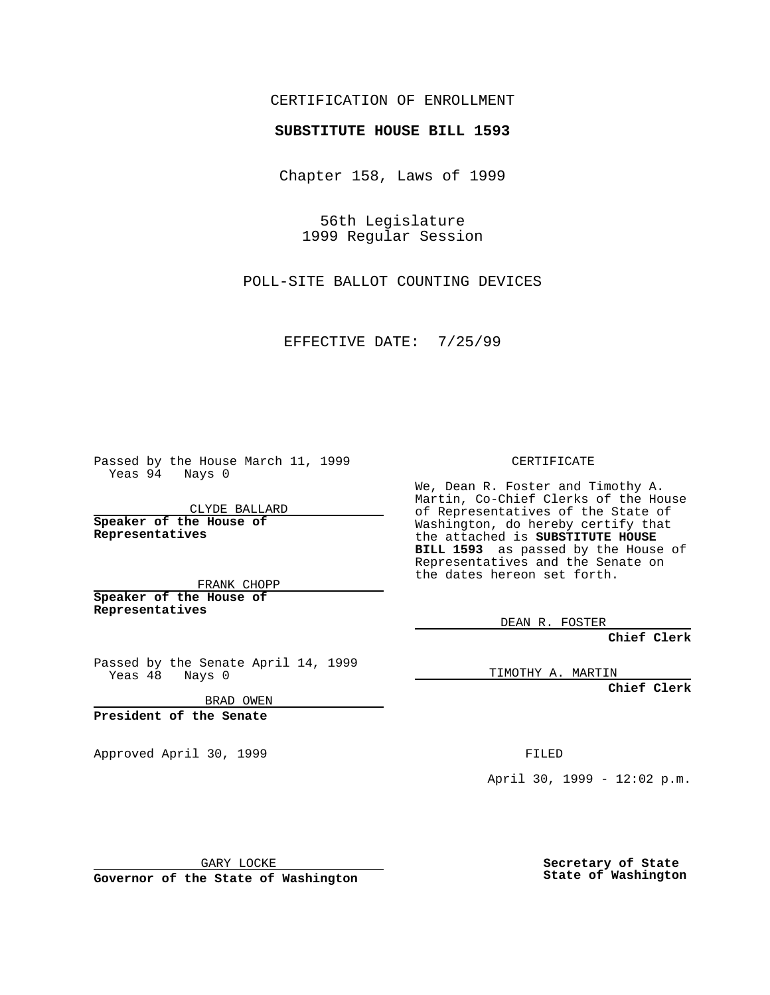## CERTIFICATION OF ENROLLMENT

# **SUBSTITUTE HOUSE BILL 1593**

Chapter 158, Laws of 1999

56th Legislature 1999 Regular Session

POLL-SITE BALLOT COUNTING DEVICES

EFFECTIVE DATE: 7/25/99

Passed by the House March 11, 1999 Yeas 94 Nays 0

CLYDE BALLARD **Speaker of the House of Representatives**

FRANK CHOPP **Speaker of the House of Representatives**

Passed by the Senate April 14, 1999 Yeas 48 Nays 0

BRAD OWEN

**President of the Senate**

Approved April 30, 1999 **FILED** 

### CERTIFICATE

We, Dean R. Foster and Timothy A. Martin, Co-Chief Clerks of the House of Representatives of the State of Washington, do hereby certify that the attached is **SUBSTITUTE HOUSE BILL 1593** as passed by the House of Representatives and the Senate on the dates hereon set forth.

DEAN R. FOSTER

**Chief Clerk**

TIMOTHY A. MARTIN

**Chief Clerk**

April 30, 1999 - 12:02 p.m.

GARY LOCKE

**Governor of the State of Washington**

**Secretary of State State of Washington**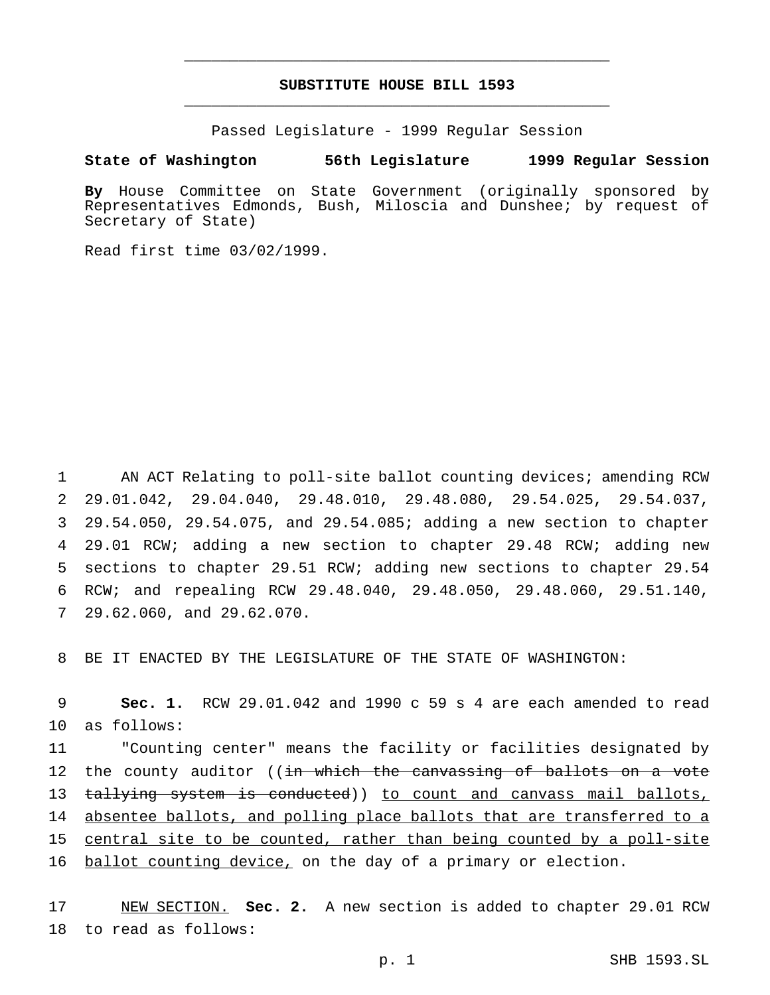## **SUBSTITUTE HOUSE BILL 1593** \_\_\_\_\_\_\_\_\_\_\_\_\_\_\_\_\_\_\_\_\_\_\_\_\_\_\_\_\_\_\_\_\_\_\_\_\_\_\_\_\_\_\_\_\_\_\_

\_\_\_\_\_\_\_\_\_\_\_\_\_\_\_\_\_\_\_\_\_\_\_\_\_\_\_\_\_\_\_\_\_\_\_\_\_\_\_\_\_\_\_\_\_\_\_

Passed Legislature - 1999 Regular Session

#### **State of Washington 56th Legislature 1999 Regular Session**

**By** House Committee on State Government (originally sponsored by Representatives Edmonds, Bush, Miloscia and Dunshee; by request of Secretary of State)

Read first time 03/02/1999.

 AN ACT Relating to poll-site ballot counting devices; amending RCW 29.01.042, 29.04.040, 29.48.010, 29.48.080, 29.54.025, 29.54.037, 29.54.050, 29.54.075, and 29.54.085; adding a new section to chapter 29.01 RCW; adding a new section to chapter 29.48 RCW; adding new sections to chapter 29.51 RCW; adding new sections to chapter 29.54 RCW; and repealing RCW 29.48.040, 29.48.050, 29.48.060, 29.51.140, 29.62.060, and 29.62.070.

8 BE IT ENACTED BY THE LEGISLATURE OF THE STATE OF WASHINGTON:

9 **Sec. 1.** RCW 29.01.042 and 1990 c 59 s 4 are each amended to read 10 as follows:

11 "Counting center" means the facility or facilities designated by 12 the county auditor ((<del>in which the canvassing of ballots on a vote</del> 13 t<del>allying system is conducted</del>)) <u>to count and canvass mail ballots,</u> 14 absentee ballots, and polling place ballots that are transferred to a 15 central site to be counted, rather than being counted by a poll-site 16 ballot counting device, on the day of a primary or election.

17 NEW SECTION. **Sec. 2.** A new section is added to chapter 29.01 RCW 18 to read as follows: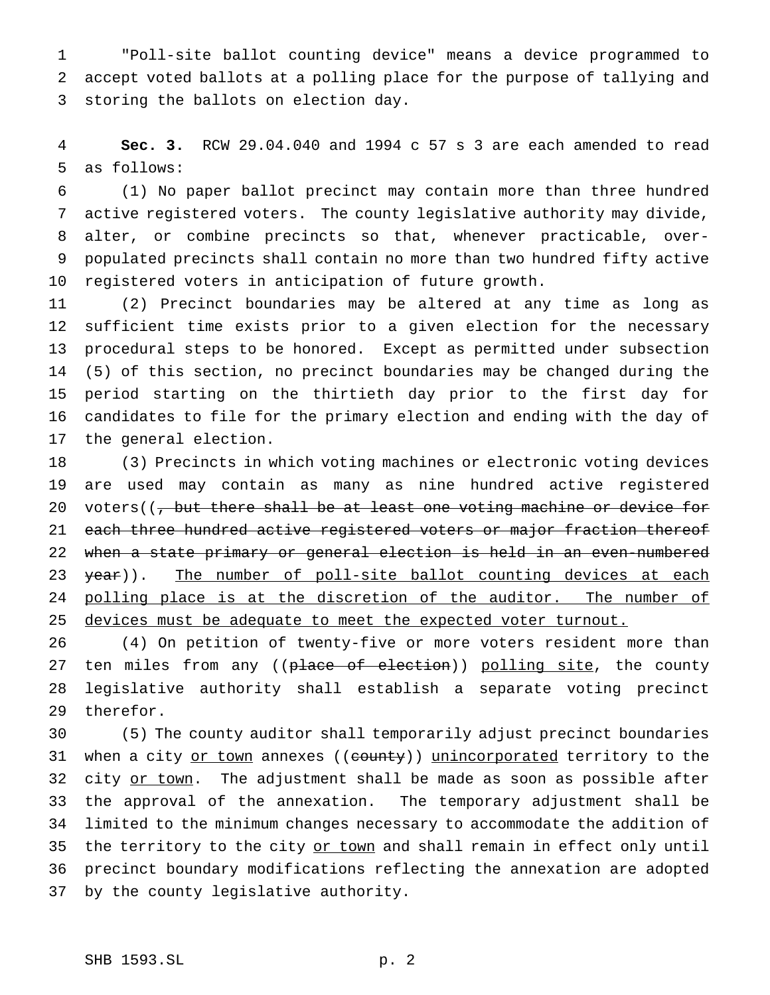"Poll-site ballot counting device" means a device programmed to accept voted ballots at a polling place for the purpose of tallying and storing the ballots on election day.

 **Sec. 3.** RCW 29.04.040 and 1994 c 57 s 3 are each amended to read as follows:

 (1) No paper ballot precinct may contain more than three hundred active registered voters. The county legislative authority may divide, alter, or combine precincts so that, whenever practicable, over- populated precincts shall contain no more than two hundred fifty active registered voters in anticipation of future growth.

 (2) Precinct boundaries may be altered at any time as long as sufficient time exists prior to a given election for the necessary procedural steps to be honored. Except as permitted under subsection (5) of this section, no precinct boundaries may be changed during the period starting on the thirtieth day prior to the first day for candidates to file for the primary election and ending with the day of the general election.

 (3) Precincts in which voting machines or electronic voting devices are used may contain as many as nine hundred active registered 20 voters( $\left(\frac{1}{2}, \frac{1}{2}\right)$  which there shall be at least one voting machine or device for 21 each three hundred active registered voters or major fraction thereof when a state primary or general election is held in an even-numbered 23 year)). The number of poll-site ballot counting devices at each 24 polling place is at the discretion of the auditor. The number of 25 devices must be adequate to meet the expected voter turnout.

 (4) On petition of twenty-five or more voters resident more than 27 ten miles from any ((place of election)) polling site, the county legislative authority shall establish a separate voting precinct therefor.

 (5) The county auditor shall temporarily adjust precinct boundaries 31 when a city or town annexes ((county)) unincorporated territory to the 32 city or town. The adjustment shall be made as soon as possible after the approval of the annexation. The temporary adjustment shall be limited to the minimum changes necessary to accommodate the addition of 35 the territory to the city or town and shall remain in effect only until precinct boundary modifications reflecting the annexation are adopted by the county legislative authority.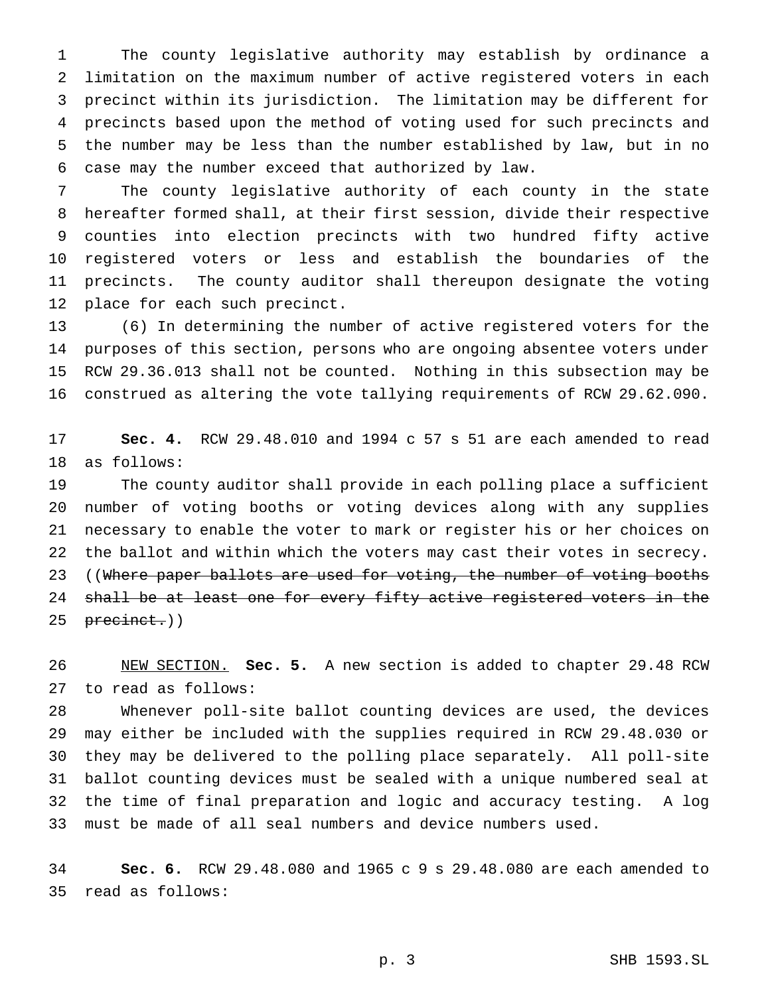The county legislative authority may establish by ordinance a limitation on the maximum number of active registered voters in each precinct within its jurisdiction. The limitation may be different for precincts based upon the method of voting used for such precincts and the number may be less than the number established by law, but in no case may the number exceed that authorized by law.

 The county legislative authority of each county in the state hereafter formed shall, at their first session, divide their respective counties into election precincts with two hundred fifty active registered voters or less and establish the boundaries of the precincts. The county auditor shall thereupon designate the voting place for each such precinct.

 (6) In determining the number of active registered voters for the purposes of this section, persons who are ongoing absentee voters under RCW 29.36.013 shall not be counted. Nothing in this subsection may be construed as altering the vote tallying requirements of RCW 29.62.090.

 **Sec. 4.** RCW 29.48.010 and 1994 c 57 s 51 are each amended to read as follows:

 The county auditor shall provide in each polling place a sufficient number of voting booths or voting devices along with any supplies necessary to enable the voter to mark or register his or her choices on the ballot and within which the voters may cast their votes in secrecy. 23 ((Where paper ballots are used for voting, the number of voting booths 24 shall be at least one for every fifty active registered voters in the 25 precinct.))

 NEW SECTION. **Sec. 5.** A new section is added to chapter 29.48 RCW to read as follows:

 Whenever poll-site ballot counting devices are used, the devices may either be included with the supplies required in RCW 29.48.030 or they may be delivered to the polling place separately. All poll-site ballot counting devices must be sealed with a unique numbered seal at the time of final preparation and logic and accuracy testing. A log must be made of all seal numbers and device numbers used.

 **Sec. 6.** RCW 29.48.080 and 1965 c 9 s 29.48.080 are each amended to read as follows:

p. 3 SHB 1593.SL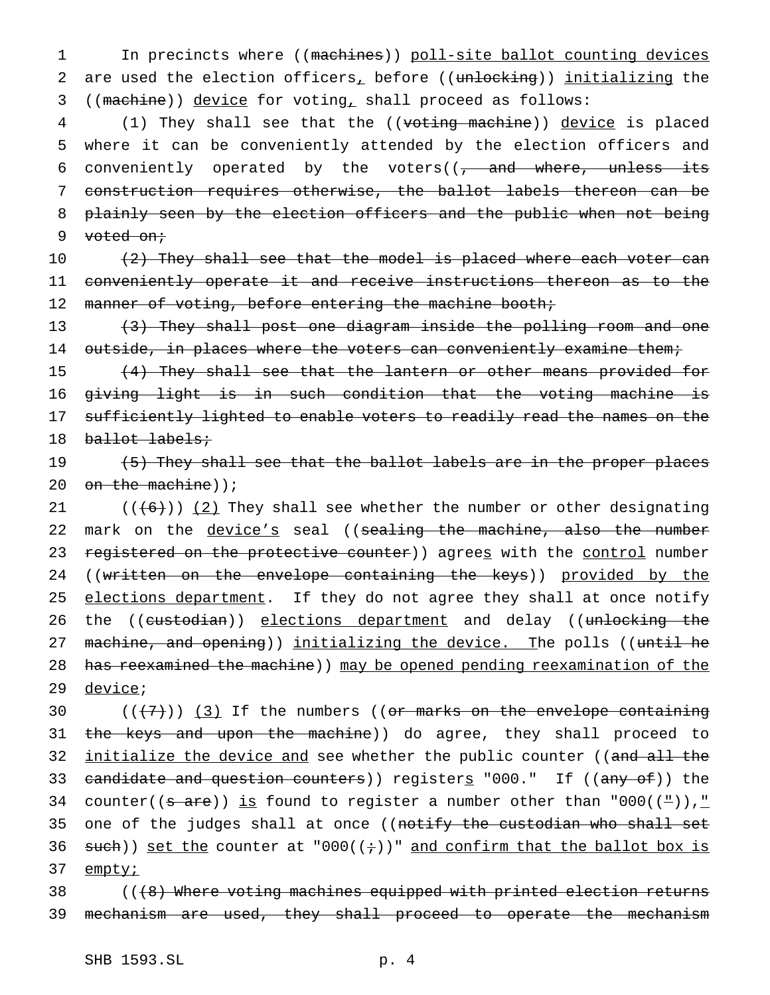1 In precincts where ((machines)) poll-site ballot counting devices 2 are used the election officers, before ((unlocking)) initializing the 3 ((machine)) device for voting, shall proceed as follows:

4 (1) They shall see that the ((voting machine)) device is placed 5 where it can be conveniently attended by the election officers and 6 conveniently operated by the voters( $(-$  and where, unless its 7 construction requires otherwise, the ballot labels thereon can be 8 plainly seen by the election officers and the public when not being 9 voted on;

 $10$  (2) They shall see that the model is placed where each voter can 11 conveniently operate it and receive instructions thereon as to the 12 manner of voting, before entering the machine booth;

13 (3) They shall post one diagram inside the polling room and one 14 outside, in places where the voters can conveniently examine them;

 (4) They shall see that the lantern or other means provided for giving light is in such condition that the voting machine is 17 sufficiently lighted to enable voters to readily read the names on the ballot labels;

19 (5) They shall see that the ballot labels are in the proper places 20 on the machine));

21  $((+6))$   $(2)$  They shall see whether the number or other designating 22 mark on the device's seal ((sealing the machine, also the number 23 registered on the protective counter)) agrees with the control number 24 ((written on the envelope containing the keys)) provided by the 25 elections department. If they do not agree they shall at once notify 26 the ((custodian)) elections department and delay ((unlocking the 27 machine, and opening)) initializing the device. The polls ((until he 28 has reexamined the machine) may be opened pending reexamination of the 29 <u>device</u>;

30  $((+7))$   $(3)$  If the numbers ((or marks on the envelope containing 31 the keys and upon the machine)) do agree, they shall proceed to 32 <u>initialize the device and</u> see whether the public counter ((<del>and all the</del> 33 <del>candidate and question counters</del>)) register<u>s</u> "000." If ((<del>any of</del>)) the 34 counter(( $s$  are)) is found to register a number other than "000( $(4)$ )," 35 one of the judges shall at once ((notify the custodian who shall set 36 such)) set the counter at "000( $(+)$ )" and confirm that the ballot box is 37 empty<sub>i</sub>

38 (((8) Where voting machines equipped with printed election returns 39 mechanism are used, they shall proceed to operate the mechanism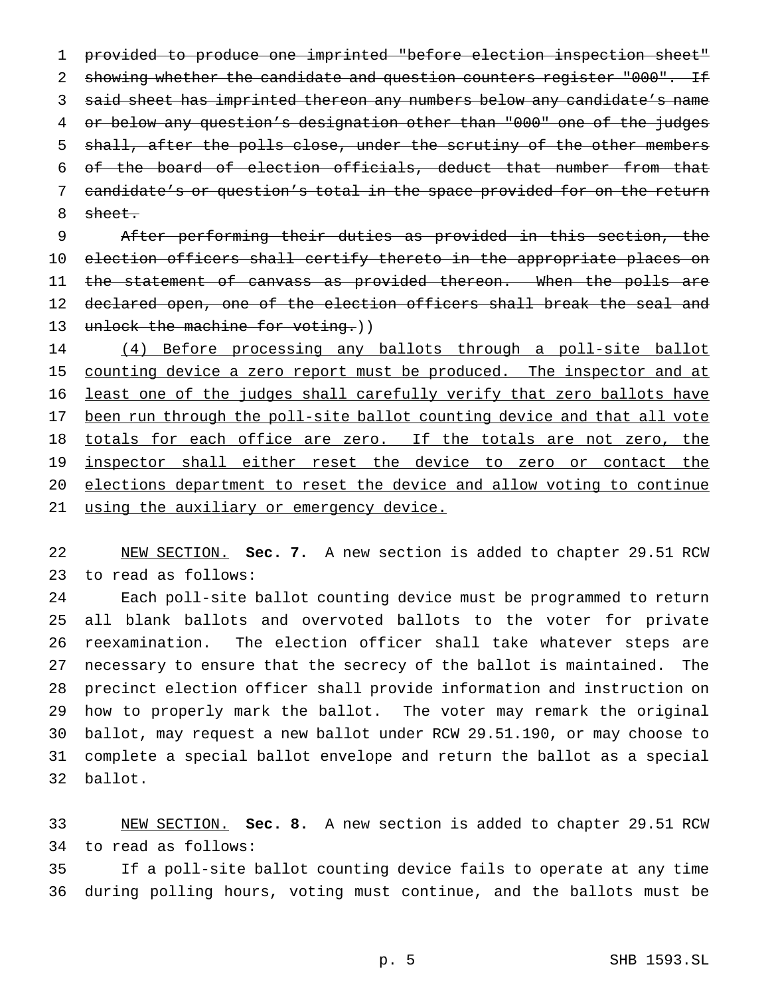provided to produce one imprinted "before election inspection sheet" 2 showing whether the candidate and question counters register "000". If said sheet has imprinted thereon any numbers below any candidate's name or below any question's designation other than "000" one of the judges 5 shall, after the polls close, under the scrutiny of the other members of the board of election officials, deduct that number from that candidate's or question's total in the space provided for on the return sheet.

 After performing their duties as provided in this section, the election officers shall certify thereto in the appropriate places on 11 the statement of canvass as provided thereon. When the polls are 12 declared open, one of the election officers shall break the seal and 13 unlock the machine for voting.))

14 (4) Before processing any ballots through a poll-site ballot 15 counting device a zero report must be produced. The inspector and at least one of the judges shall carefully verify that zero ballots have 17 been run through the poll-site ballot counting device and that all vote 18 totals for each office are zero. If the totals are not zero, the 19 inspector shall either reset the device to zero or contact the elections department to reset the device and allow voting to continue 21 using the auxiliary or emergency device.

 NEW SECTION. **Sec. 7.** A new section is added to chapter 29.51 RCW to read as follows:

 Each poll-site ballot counting device must be programmed to return all blank ballots and overvoted ballots to the voter for private reexamination. The election officer shall take whatever steps are necessary to ensure that the secrecy of the ballot is maintained. The precinct election officer shall provide information and instruction on how to properly mark the ballot. The voter may remark the original ballot, may request a new ballot under RCW 29.51.190, or may choose to complete a special ballot envelope and return the ballot as a special ballot.

 NEW SECTION. **Sec. 8.** A new section is added to chapter 29.51 RCW to read as follows:

 If a poll-site ballot counting device fails to operate at any time during polling hours, voting must continue, and the ballots must be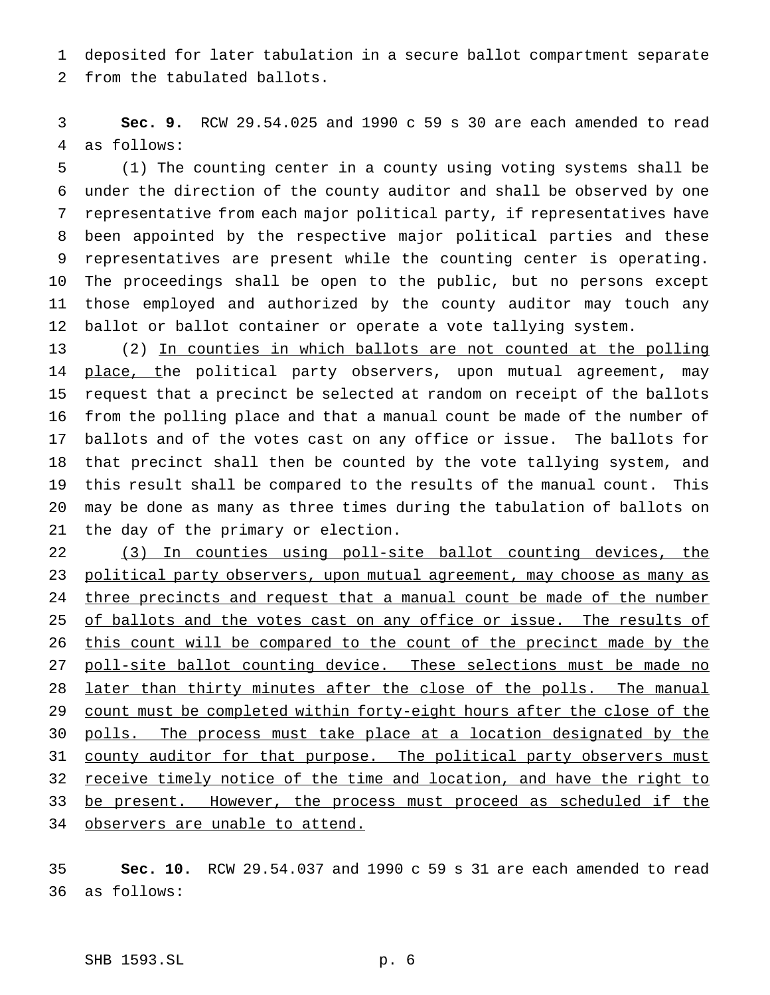deposited for later tabulation in a secure ballot compartment separate from the tabulated ballots.

 **Sec. 9.** RCW 29.54.025 and 1990 c 59 s 30 are each amended to read as follows:

 (1) The counting center in a county using voting systems shall be under the direction of the county auditor and shall be observed by one representative from each major political party, if representatives have been appointed by the respective major political parties and these representatives are present while the counting center is operating. The proceedings shall be open to the public, but no persons except those employed and authorized by the county auditor may touch any ballot or ballot container or operate a vote tallying system.

 (2) In counties in which ballots are not counted at the polling 14 place, the political party observers, upon mutual agreement, may request that a precinct be selected at random on receipt of the ballots from the polling place and that a manual count be made of the number of ballots and of the votes cast on any office or issue. The ballots for that precinct shall then be counted by the vote tallying system, and this result shall be compared to the results of the manual count. This may be done as many as three times during the tabulation of ballots on the day of the primary or election.

 (3) In counties using poll-site ballot counting devices, the 23 political party observers, upon mutual agreement, may choose as many as 24 three precincts and request that a manual count be made of the number 25 of ballots and the votes cast on any office or issue. The results of 26 this count will be compared to the count of the precinct made by the 27 poll-site ballot counting device. These selections must be made no 28 later than thirty minutes after the close of the polls. The manual 29 count must be completed within forty-eight hours after the close of the 30 polls. The process must take place at a location designated by the 31 county auditor for that purpose. The political party observers must 32 receive timely notice of the time and location, and have the right to 33 be present. However, the process must proceed as scheduled if the observers are unable to attend.

 **Sec. 10.** RCW 29.54.037 and 1990 c 59 s 31 are each amended to read as follows: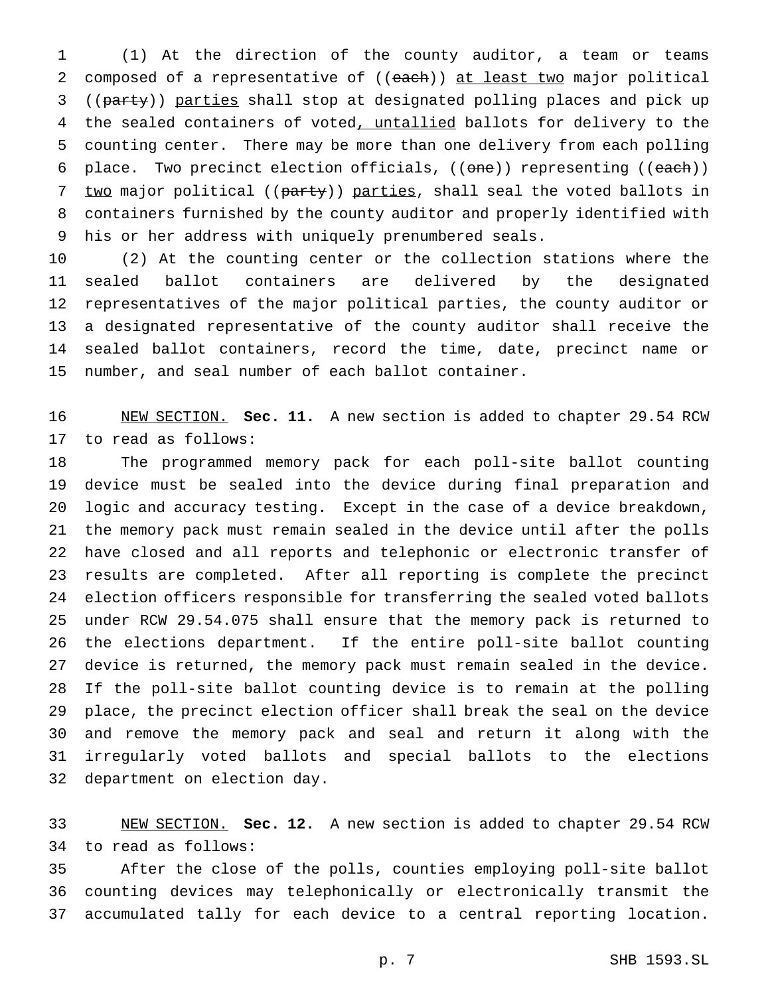(1) At the direction of the county auditor, a team or teams 2 composed of a representative of ((each)) at least two major political ((party)) parties shall stop at designated polling places and pick up 4 the sealed containers of voted, untallied ballots for delivery to the counting center. There may be more than one delivery from each polling 6 place. Two precinct election officials, ((one)) representing ((each)) 7 two major political ((party)) parties, shall seal the voted ballots in containers furnished by the county auditor and properly identified with his or her address with uniquely prenumbered seals.

 (2) At the counting center or the collection stations where the sealed ballot containers are delivered by the designated representatives of the major political parties, the county auditor or a designated representative of the county auditor shall receive the sealed ballot containers, record the time, date, precinct name or number, and seal number of each ballot container.

 NEW SECTION. **Sec. 11.** A new section is added to chapter 29.54 RCW to read as follows:

 The programmed memory pack for each poll-site ballot counting device must be sealed into the device during final preparation and logic and accuracy testing. Except in the case of a device breakdown, the memory pack must remain sealed in the device until after the polls have closed and all reports and telephonic or electronic transfer of results are completed. After all reporting is complete the precinct election officers responsible for transferring the sealed voted ballots under RCW 29.54.075 shall ensure that the memory pack is returned to the elections department. If the entire poll-site ballot counting device is returned, the memory pack must remain sealed in the device. If the poll-site ballot counting device is to remain at the polling place, the precinct election officer shall break the seal on the device and remove the memory pack and seal and return it along with the irregularly voted ballots and special ballots to the elections department on election day.

 NEW SECTION. **Sec. 12.** A new section is added to chapter 29.54 RCW to read as follows:

 After the close of the polls, counties employing poll-site ballot counting devices may telephonically or electronically transmit the accumulated tally for each device to a central reporting location.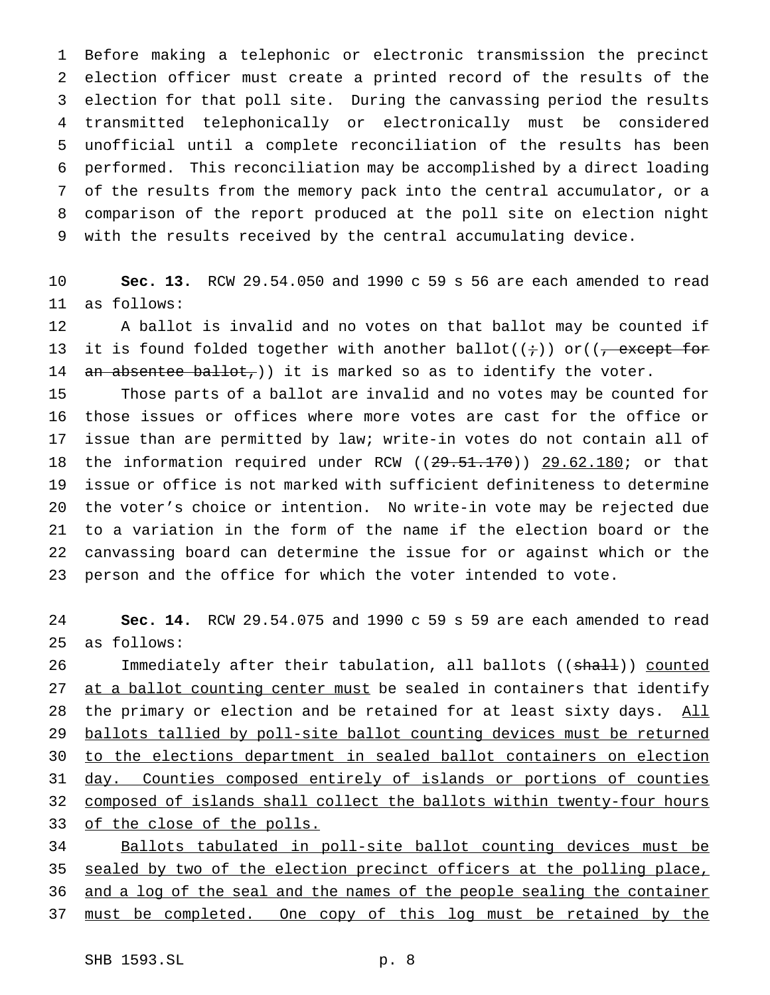Before making a telephonic or electronic transmission the precinct election officer must create a printed record of the results of the election for that poll site. During the canvassing period the results transmitted telephonically or electronically must be considered unofficial until a complete reconciliation of the results has been performed. This reconciliation may be accomplished by a direct loading of the results from the memory pack into the central accumulator, or a comparison of the report produced at the poll site on election night with the results received by the central accumulating device.

 **Sec. 13.** RCW 29.54.050 and 1990 c 59 s 56 are each amended to read as follows:

 A ballot is invalid and no votes on that ballot may be counted if 13 it is found folded together with another ballot( $(i+)$ ) or( $(\frac{1}{i})$  except for 14 an absentee ballot, )) it is marked so as to identify the voter.

 Those parts of a ballot are invalid and no votes may be counted for those issues or offices where more votes are cast for the office or issue than are permitted by law; write-in votes do not contain all of 18 the information required under RCW ((29.51.170)) 29.62.180; or that issue or office is not marked with sufficient definiteness to determine the voter's choice or intention. No write-in vote may be rejected due to a variation in the form of the name if the election board or the canvassing board can determine the issue for or against which or the person and the office for which the voter intended to vote.

 **Sec. 14.** RCW 29.54.075 and 1990 c 59 s 59 are each amended to read as follows:

26 Immediately after their tabulation, all ballots ((shall)) counted 27 at a ballot counting center must be sealed in containers that identify 28 the primary or election and be retained for at least sixty days. All ballots tallied by poll-site ballot counting devices must be returned to the elections department in sealed ballot containers on election 31 day. Counties composed entirely of islands or portions of counties composed of islands shall collect the ballots within twenty-four hours of the close of the polls.

 Ballots tabulated in poll-site ballot counting devices must be 35 sealed by two of the election precinct officers at the polling place, and a log of the seal and the names of the people sealing the container 37 must be completed. One copy of this log must be retained by the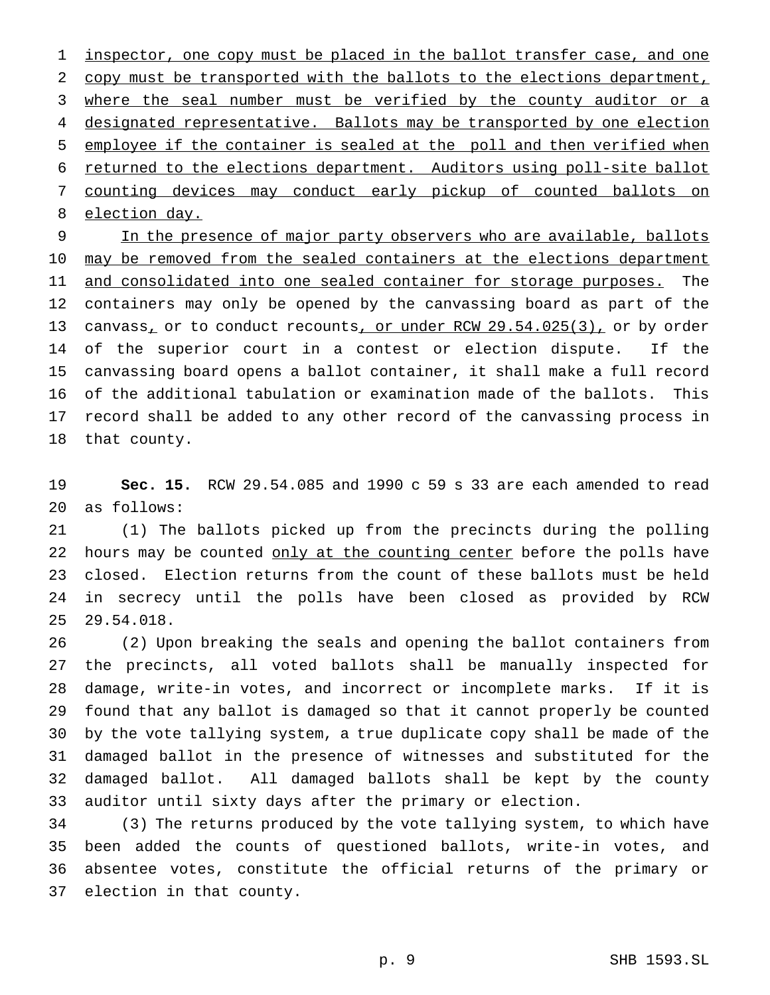1 inspector, one copy must be placed in the ballot transfer case, and one copy must be transported with the ballots to the elections department, 3 where the seal number must be verified by the county auditor or a 4 designated representative. Ballots may be transported by one election employee if the container is sealed at the poll and then verified when returned to the elections department. Auditors using poll-site ballot counting devices may conduct early pickup of counted ballots on election day.

9 In the presence of major party observers who are available, ballots 10 may be removed from the sealed containers at the elections department 11 and consolidated into one sealed container for storage purposes. The containers may only be opened by the canvassing board as part of the 13 canvass<sub>1</sub> or to conduct recounts, or under RCW 29.54.025(3), or by order of the superior court in a contest or election dispute. If the canvassing board opens a ballot container, it shall make a full record of the additional tabulation or examination made of the ballots. This record shall be added to any other record of the canvassing process in that county.

 **Sec. 15.** RCW 29.54.085 and 1990 c 59 s 33 are each amended to read as follows:

 (1) The ballots picked up from the precincts during the polling 22 hours may be counted only at the counting center before the polls have closed. Election returns from the count of these ballots must be held in secrecy until the polls have been closed as provided by RCW 29.54.018.

 (2) Upon breaking the seals and opening the ballot containers from the precincts, all voted ballots shall be manually inspected for damage, write-in votes, and incorrect or incomplete marks. If it is found that any ballot is damaged so that it cannot properly be counted by the vote tallying system, a true duplicate copy shall be made of the damaged ballot in the presence of witnesses and substituted for the damaged ballot. All damaged ballots shall be kept by the county auditor until sixty days after the primary or election.

 (3) The returns produced by the vote tallying system, to which have been added the counts of questioned ballots, write-in votes, and absentee votes, constitute the official returns of the primary or election in that county.